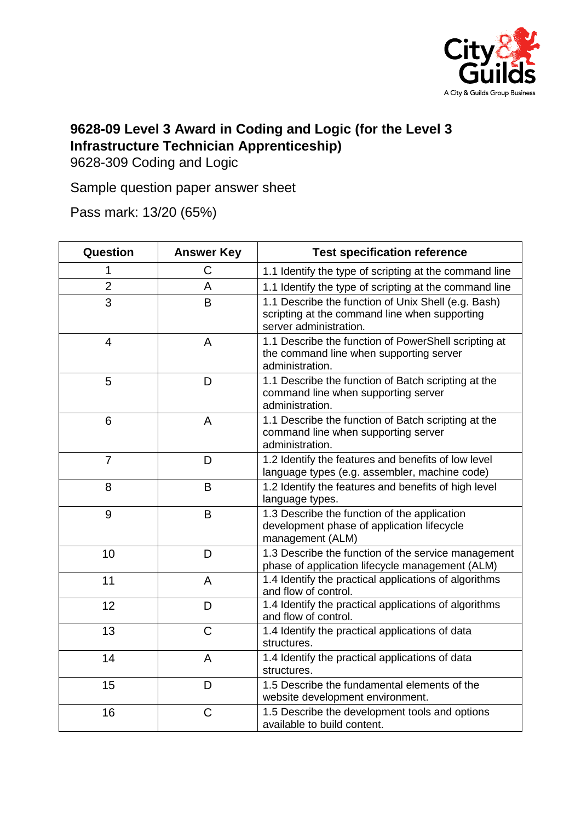

## **9628-09 Level 3 Award in Coding and Logic (for the Level 3 Infrastructure Technician Apprenticeship)**

9628-309 Coding and Logic

Sample question paper answer sheet

Pass mark: 13/20 (65%)

| Question       | <b>Answer Key</b> | <b>Test specification reference</b>                                                                                            |
|----------------|-------------------|--------------------------------------------------------------------------------------------------------------------------------|
| 1              | C                 | 1.1 Identify the type of scripting at the command line                                                                         |
| $\overline{2}$ | A                 | 1.1 Identify the type of scripting at the command line                                                                         |
| 3              | B                 | 1.1 Describe the function of Unix Shell (e.g. Bash)<br>scripting at the command line when supporting<br>server administration. |
| 4              | A                 | 1.1 Describe the function of PowerShell scripting at<br>the command line when supporting server<br>administration.             |
| 5              | D                 | 1.1 Describe the function of Batch scripting at the<br>command line when supporting server<br>administration.                  |
| 6              | A                 | 1.1 Describe the function of Batch scripting at the<br>command line when supporting server<br>administration.                  |
| $\overline{7}$ | D                 | 1.2 Identify the features and benefits of low level<br>language types (e.g. assembler, machine code)                           |
| 8              | B                 | 1.2 Identify the features and benefits of high level<br>language types.                                                        |
| 9              | B                 | 1.3 Describe the function of the application<br>development phase of application lifecycle<br>management (ALM)                 |
| 10             | D                 | 1.3 Describe the function of the service management<br>phase of application lifecycle management (ALM)                         |
| 11             | $\overline{A}$    | 1.4 Identify the practical applications of algorithms<br>and flow of control.                                                  |
| 12             | D                 | 1.4 Identify the practical applications of algorithms<br>and flow of control.                                                  |
| 13             | $\mathsf{C}$      | 1.4 Identify the practical applications of data<br>structures.                                                                 |
| 14             | A                 | 1.4 Identify the practical applications of data<br>structures.                                                                 |
| 15             | D                 | 1.5 Describe the fundamental elements of the<br>website development environment.                                               |
| 16             | $\mathsf C$       | 1.5 Describe the development tools and options<br>available to build content.                                                  |